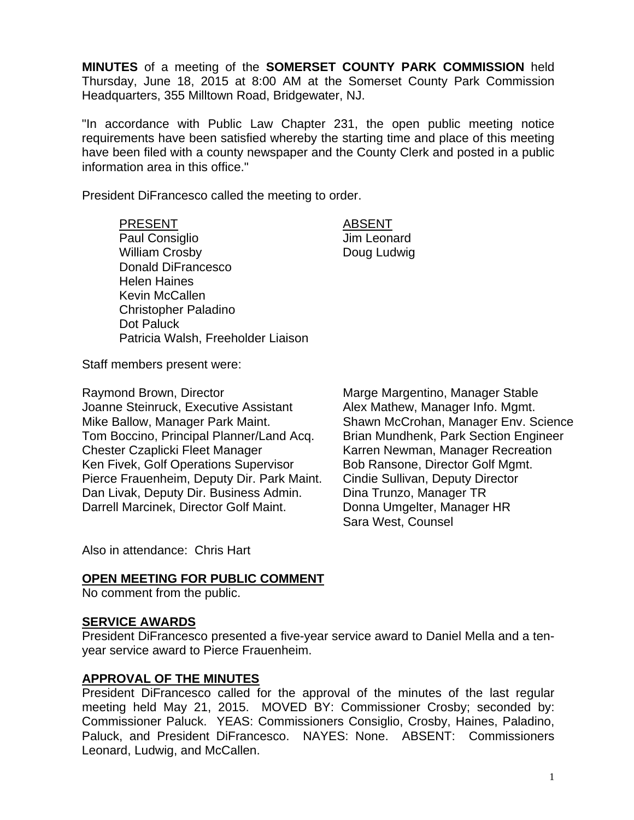**MINUTES** of a meeting of the **SOMERSET COUNTY PARK COMMISSION** held Thursday, June 18, 2015 at 8:00 AM at the Somerset County Park Commission Headquarters, 355 Milltown Road, Bridgewater, NJ.

"In accordance with Public Law Chapter 231, the open public meeting notice requirements have been satisfied whereby the starting time and place of this meeting have been filed with a county newspaper and the County Clerk and posted in a public information area in this office."

President DiFrancesco called the meeting to order.

PRESENT ABSENT Paul Consiglio **Access 1** Jim Leonard William Crosby **Doug Ludwig** Donald DiFrancesco Helen Haines Kevin McCallen Christopher Paladino Dot Paluck Patricia Walsh, Freeholder Liaison

Staff members present were:

Raymond Brown, Director **Marge Margentino**, Manager Stable Joanne Steinruck, Executive Assistant Alex Mathew, Manager Info. Mgmt. Mike Ballow, Manager Park Maint. Shawn McCrohan, Manager Env. Science Tom Boccino, Principal Planner/Land Acq. Brian Mundhenk, Park Section Engineer Chester Czaplicki Fleet Manager Karren Newman, Manager Recreation Ken Fivek, Golf Operations Supervisor Bob Ransone, Director Golf Mgmt. Pierce Frauenheim, Deputy Dir. Park Maint. Cindie Sullivan, Deputy Director Dan Livak, Deputy Dir. Business Admin. Dina Trunzo, Manager TR Darrell Marcinek, Director Golf Maint. Donna Umgelter, Manager HR

Sara West, Counsel

Also in attendance: Chris Hart

#### **OPEN MEETING FOR PUBLIC COMMENT**

No comment from the public.

#### **SERVICE AWARDS**

President DiFrancesco presented a five-year service award to Daniel Mella and a tenyear service award to Pierce Frauenheim.

#### **APPROVAL OF THE MINUTES**

President DiFrancesco called for the approval of the minutes of the last regular meeting held May 21, 2015. MOVED BY: Commissioner Crosby; seconded by: Commissioner Paluck. YEAS: Commissioners Consiglio, Crosby, Haines, Paladino, Paluck, and President DiFrancesco. NAYES: None. ABSENT: Commissioners Leonard, Ludwig, and McCallen.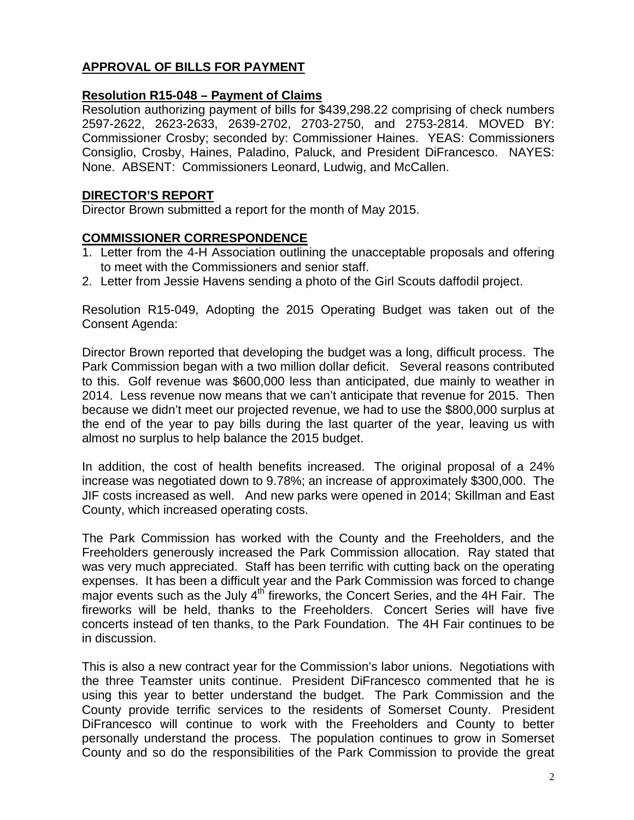# **APPROVAL OF BILLS FOR PAYMENT**

#### **Resolution R15-048 – Payment of Claims**

Resolution authorizing payment of bills for \$439,298.22 comprising of check numbers 2597-2622, 2623-2633, 2639-2702, 2703-2750, and 2753-2814. MOVED BY: Commissioner Crosby; seconded by: Commissioner Haines. YEAS: Commissioners Consiglio, Crosby, Haines, Paladino, Paluck, and President DiFrancesco. NAYES: None. ABSENT: Commissioners Leonard, Ludwig, and McCallen.

#### **DIRECTOR'S REPORT**

Director Brown submitted a report for the month of May 2015.

## **COMMISSIONER CORRESPONDENCE**

- 1. Letter from the 4-H Association outlining the unacceptable proposals and offering to meet with the Commissioners and senior staff.
- 2. Letter from Jessie Havens sending a photo of the Girl Scouts daffodil project.

Resolution R15-049, Adopting the 2015 Operating Budget was taken out of the Consent Agenda:

Director Brown reported that developing the budget was a long, difficult process. The Park Commission began with a two million dollar deficit. Several reasons contributed to this. Golf revenue was \$600,000 less than anticipated, due mainly to weather in 2014. Less revenue now means that we can't anticipate that revenue for 2015. Then because we didn't meet our projected revenue, we had to use the \$800,000 surplus at the end of the year to pay bills during the last quarter of the year, leaving us with almost no surplus to help balance the 2015 budget.

In addition, the cost of health benefits increased. The original proposal of a 24% increase was negotiated down to 9.78%; an increase of approximately \$300,000. The JIF costs increased as well. And new parks were opened in 2014; Skillman and East County, which increased operating costs.

The Park Commission has worked with the County and the Freeholders, and the Freeholders generously increased the Park Commission allocation. Ray stated that was very much appreciated. Staff has been terrific with cutting back on the operating expenses. It has been a difficult year and the Park Commission was forced to change major events such as the July  $4<sup>th</sup>$  fireworks, the Concert Series, and the 4H Fair. The fireworks will be held, thanks to the Freeholders. Concert Series will have five concerts instead of ten thanks, to the Park Foundation. The 4H Fair continues to be in discussion.

This is also a new contract year for the Commission's labor unions. Negotiations with the three Teamster units continue. President DiFrancesco commented that he is using this year to better understand the budget. The Park Commission and the County provide terrific services to the residents of Somerset County. President DiFrancesco will continue to work with the Freeholders and County to better personally understand the process. The population continues to grow in Somerset County and so do the responsibilities of the Park Commission to provide the great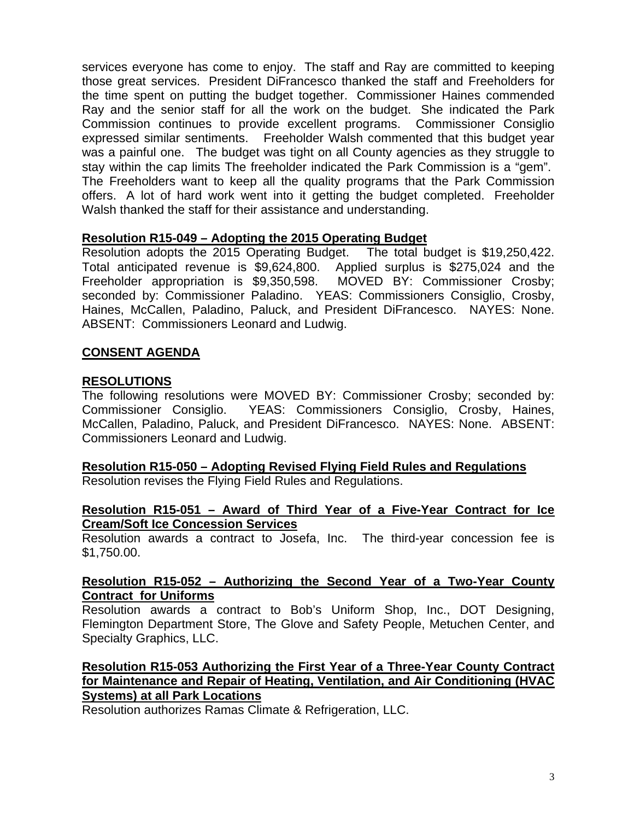services everyone has come to enjoy. The staff and Ray are committed to keeping those great services. President DiFrancesco thanked the staff and Freeholders for the time spent on putting the budget together. Commissioner Haines commended Ray and the senior staff for all the work on the budget. She indicated the Park Commission continues to provide excellent programs. Commissioner Consiglio expressed similar sentiments. Freeholder Walsh commented that this budget year was a painful one. The budget was tight on all County agencies as they struggle to stay within the cap limits The freeholder indicated the Park Commission is a "gem". The Freeholders want to keep all the quality programs that the Park Commission offers. A lot of hard work went into it getting the budget completed. Freeholder Walsh thanked the staff for their assistance and understanding.

## **Resolution R15-049 – Adopting the 2015 Operating Budget**

Resolution adopts the 2015 Operating Budget. The total budget is \$19,250,422. Total anticipated revenue is \$9,624,800. Applied surplus is \$275,024 and the Freeholder appropriation is \$9,350,598. MOVED BY: Commissioner Crosby; seconded by: Commissioner Paladino. YEAS: Commissioners Consiglio, Crosby, Haines, McCallen, Paladino, Paluck, and President DiFrancesco. NAYES: None. ABSENT: Commissioners Leonard and Ludwig.

## **CONSENT AGENDA**

#### **RESOLUTIONS**

The following resolutions were MOVED BY: Commissioner Crosby; seconded by: Commissioner Consiglio. YEAS: Commissioners Consiglio, Crosby, Haines, McCallen, Paladino, Paluck, and President DiFrancesco. NAYES: None. ABSENT: Commissioners Leonard and Ludwig.

# **Resolution R15-050 – Adopting Revised Flying Field Rules and Regulations**

Resolution revises the Flying Field Rules and Regulations.

#### **Resolution R15-051 – Award of Third Year of a Five-Year Contract for Ice Cream/Soft Ice Concession Services**

Resolution awards a contract to Josefa, Inc. The third-year concession fee is \$1,750.00.

## **Resolution R15-052 – Authorizing the Second Year of a Two-Year County Contract for Uniforms**

Resolution awards a contract to Bob's Uniform Shop, Inc., DOT Designing, Flemington Department Store, The Glove and Safety People, Metuchen Center, and Specialty Graphics, LLC.

## **Resolution R15-053 Authorizing the First Year of a Three-Year County Contract for Maintenance and Repair of Heating, Ventilation, and Air Conditioning (HVAC Systems) at all Park Locations**

Resolution authorizes Ramas Climate & Refrigeration, LLC.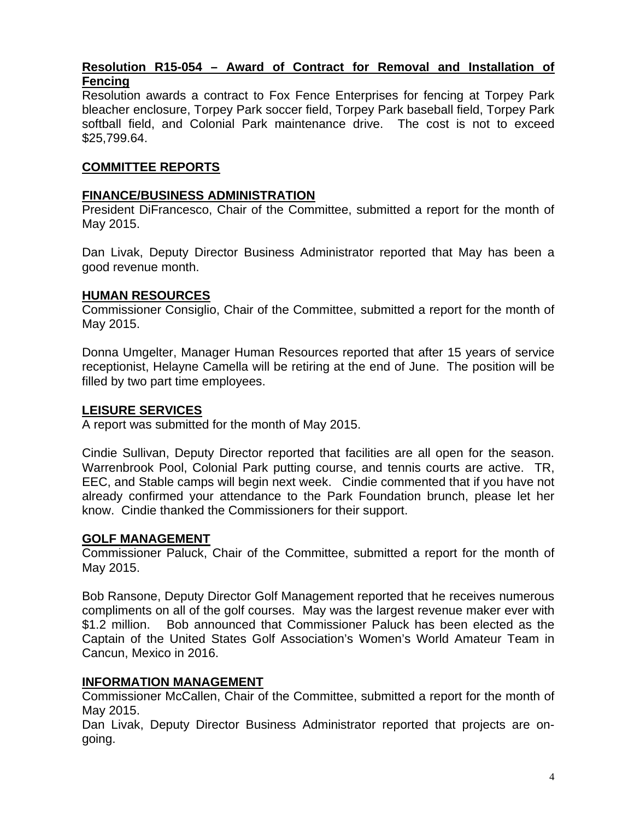## **Resolution R15-054 – Award of Contract for Removal and Installation of Fencing**

Resolution awards a contract to Fox Fence Enterprises for fencing at Torpey Park bleacher enclosure, Torpey Park soccer field, Torpey Park baseball field, Torpey Park softball field, and Colonial Park maintenance drive. The cost is not to exceed \$25,799.64.

## **COMMITTEE REPORTS**

#### **FINANCE/BUSINESS ADMINISTRATION**

President DiFrancesco, Chair of the Committee, submitted a report for the month of May 2015.

Dan Livak, Deputy Director Business Administrator reported that May has been a good revenue month.

#### **HUMAN RESOURCES**

Commissioner Consiglio, Chair of the Committee, submitted a report for the month of May 2015.

Donna Umgelter, Manager Human Resources reported that after 15 years of service receptionist, Helayne Camella will be retiring at the end of June. The position will be filled by two part time employees.

#### **LEISURE SERVICES**

A report was submitted for the month of May 2015.

Cindie Sullivan, Deputy Director reported that facilities are all open for the season. Warrenbrook Pool, Colonial Park putting course, and tennis courts are active. TR, EEC, and Stable camps will begin next week. Cindie commented that if you have not already confirmed your attendance to the Park Foundation brunch, please let her know. Cindie thanked the Commissioners for their support.

#### **GOLF MANAGEMENT**

Commissioner Paluck, Chair of the Committee, submitted a report for the month of May 2015.

Bob Ransone, Deputy Director Golf Management reported that he receives numerous compliments on all of the golf courses. May was the largest revenue maker ever with \$1.2 million. Bob announced that Commissioner Paluck has been elected as the Captain of the United States Golf Association's Women's World Amateur Team in Cancun, Mexico in 2016.

#### **INFORMATION MANAGEMENT**

Commissioner McCallen, Chair of the Committee, submitted a report for the month of May 2015.

Dan Livak, Deputy Director Business Administrator reported that projects are ongoing.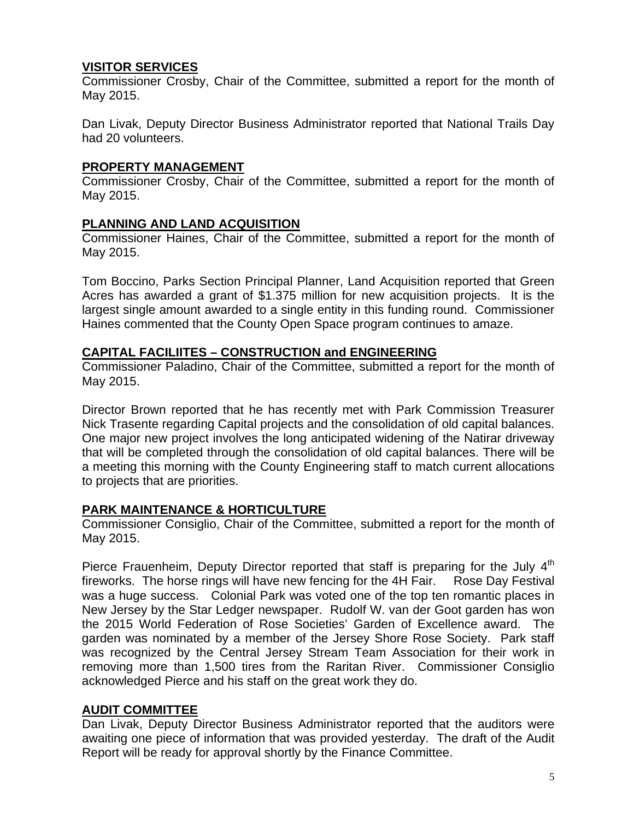## **VISITOR SERVICES**

Commissioner Crosby, Chair of the Committee, submitted a report for the month of May 2015.

Dan Livak, Deputy Director Business Administrator reported that National Trails Day had 20 volunteers.

# **PROPERTY MANAGEMENT**

Commissioner Crosby, Chair of the Committee, submitted a report for the month of May 2015.

# **PLANNING AND LAND ACQUISITION**

Commissioner Haines, Chair of the Committee, submitted a report for the month of May 2015.

Tom Boccino, Parks Section Principal Planner, Land Acquisition reported that Green Acres has awarded a grant of \$1.375 million for new acquisition projects. It is the largest single amount awarded to a single entity in this funding round. Commissioner Haines commented that the County Open Space program continues to amaze.

# **CAPITAL FACILIITES – CONSTRUCTION and ENGINEERING**

Commissioner Paladino, Chair of the Committee, submitted a report for the month of May 2015.

Director Brown reported that he has recently met with Park Commission Treasurer Nick Trasente regarding Capital projects and the consolidation of old capital balances. One major new project involves the long anticipated widening of the Natirar driveway that will be completed through the consolidation of old capital balances. There will be a meeting this morning with the County Engineering staff to match current allocations to projects that are priorities.

# **PARK MAINTENANCE & HORTICULTURE**

Commissioner Consiglio, Chair of the Committee, submitted a report for the month of May 2015.

Pierce Frauenheim, Deputy Director reported that staff is preparing for the July  $4<sup>th</sup>$ fireworks. The horse rings will have new fencing for the 4H Fair. Rose Day Festival was a huge success. Colonial Park was voted one of the top ten romantic places in New Jersey by the Star Ledger newspaper. Rudolf W. van der Goot garden has won the 2015 World Federation of Rose Societies' Garden of Excellence award. The garden was nominated by a member of the Jersey Shore Rose Society. Park staff was recognized by the Central Jersey Stream Team Association for their work in removing more than 1,500 tires from the Raritan River. Commissioner Consiglio acknowledged Pierce and his staff on the great work they do.

# **AUDIT COMMITTEE**

Dan Livak, Deputy Director Business Administrator reported that the auditors were awaiting one piece of information that was provided yesterday. The draft of the Audit Report will be ready for approval shortly by the Finance Committee.